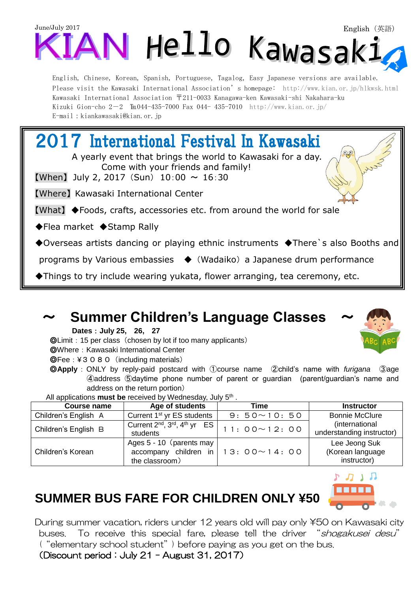

Kawasaki International Association 〒211-0033 Kanagawa-ken Kawasaki-shi Nakahara-ku Kizuki Gion-cho  $2-2$  Tu044-435-7000 Fax 044-435-7010 http://www.kian.or.jp/ E-mail:kiankawasaki@kian.or.jp

2017 International Festival In Kawasaki A yearly event that brings the world to Kawasaki for a day. Come with your friends and family! **[When]** July 2, 2017 (Sun)  $10:00 \sim 16:30$ 【Where】 Kawasaki International Center 【What】 ◆Foods, crafts, accessories etc. from around the world for sale ◆Flea market ◆Stamp Rally ◆Overseas artists dancing or playing ethnic instruments ◆There`s also Booths and programs by Various embassies ◆ (Wadaiko) a Japanese drum performance ◆Things to try include wearing yukata, flower arranging, tea ceremony, etc.

### ~ **Summer Children's Language Classes** ~

**Dates**:**July 25, 26, 27**

◎Limit:15 per class(chosen by lot if too many applicants)

◎Where:Kawasaki International Center

◎Fee:¥3080(including materials)

◎**Apply**:ONLY by reply-paid postcard with ①course name ②child's name with *furigana* ③age ④address ⑤daytime phone number of parent or guardian (parent/guardian's name and address on the return portion)

All applications **must be** received by Wednesday, July 5<sup>th</sup>.

| Course name          | Age of students                                                                             | Time               | <b>Instructor</b>                                |
|----------------------|---------------------------------------------------------------------------------------------|--------------------|--------------------------------------------------|
| Children's English A | Current 1 <sup>st</sup> yr ES students                                                      | $9:50 \sim 10:50$  | <b>Bonnie McClure</b>                            |
| Children's English B | Current 2 <sup>nd</sup> , 3 <sup>rd</sup> , 4 <sup>th</sup> yr ES  <br>students             | $11:00 \sim 12:00$ | (international<br>understanding instructor)      |
| Children's Korean    | Ages 5 - 10 (parents may<br>accompany children in   13: $00 \sim 14$ : 00<br>the classroom) |                    | Lee Jeong Suk<br>(Korean language<br>instructor) |

# תנתי

## **SUMMER BUS FARE FOR CHILDREN ONLY ¥50**

During summer vacation, riders under 12 years old will pay only \50 on Kawasaki city buses. To receive this special fare, please tell the driver "*shogakusei desu*" ("elementary school student") before paying as you get on the bus.

(Discount period:July 21 – August 31, 2017)